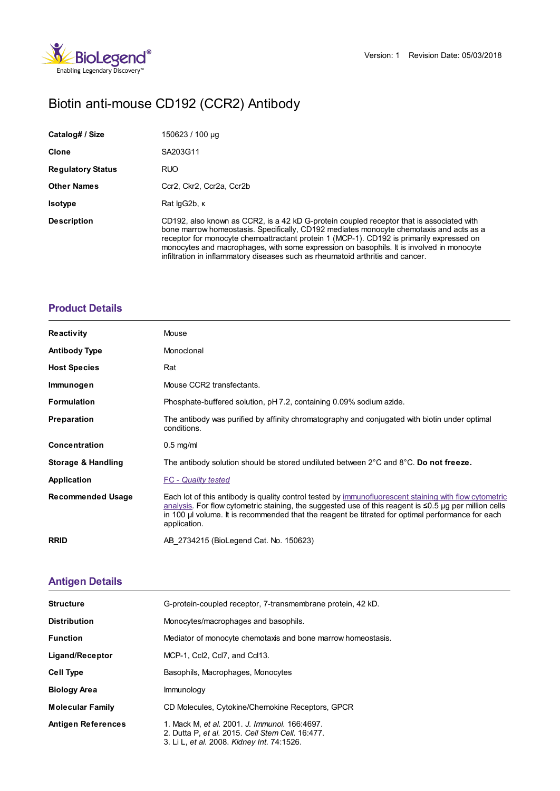

# Biotin anti-mouse CD192 (CCR2) Antibody

| Catalog# / Size          | 150623 / 100 µg                                                                                                                                                                                                                                                                                                                                                                                                                                               |
|--------------------------|---------------------------------------------------------------------------------------------------------------------------------------------------------------------------------------------------------------------------------------------------------------------------------------------------------------------------------------------------------------------------------------------------------------------------------------------------------------|
| Clone                    | SA203G11                                                                                                                                                                                                                                                                                                                                                                                                                                                      |
| <b>Regulatory Status</b> | <b>RUO</b>                                                                                                                                                                                                                                                                                                                                                                                                                                                    |
| <b>Other Names</b>       | Ccr2. Ckr2. Ccr2a. Ccr2b                                                                                                                                                                                                                                                                                                                                                                                                                                      |
| <b>Isotype</b>           | Rat lgG2b, K                                                                                                                                                                                                                                                                                                                                                                                                                                                  |
| <b>Description</b>       | CD192, also known as CCR2, is a 42 kD G-protein coupled receptor that is associated with<br>bone marrow homeostasis. Specifically, CD192 mediates monocyte chemotaxis and acts as a<br>receptor for monocyte chemoattractant protein 1 (MCP-1). CD192 is primarily expressed on<br>monocytes and macrophages, with some expression on basophils. It is involved in monocyte<br>infiltration in inflammatory diseases such as rheumatoid arthritis and cancer. |

### **[Product](https://www.biolegend.com/nl-be/products/biotin-anti-mouse-cd192-ccr2-antibody-15787?pdf=true&displayInline=true&leftRightMargin=15&topBottomMargin=15&filename=Biotin anti-mouse CD192 (CCR2) Antibody.pdf#productDetails) Details**

| <b>Reactivity</b>             | Mouse                                                                                                                                                                                                                                                                                                                                      |
|-------------------------------|--------------------------------------------------------------------------------------------------------------------------------------------------------------------------------------------------------------------------------------------------------------------------------------------------------------------------------------------|
| <b>Antibody Type</b>          | Monoclonal                                                                                                                                                                                                                                                                                                                                 |
| <b>Host Species</b>           | Rat                                                                                                                                                                                                                                                                                                                                        |
| Immunogen                     | Mouse CCR2 transfectants.                                                                                                                                                                                                                                                                                                                  |
| <b>Formulation</b>            | Phosphate-buffered solution, pH 7.2, containing 0.09% sodium azide.                                                                                                                                                                                                                                                                        |
| <b>Preparation</b>            | The antibody was purified by affinity chromatography and conjugated with biotin under optimal<br>conditions.                                                                                                                                                                                                                               |
| <b>Concentration</b>          | $0.5$ mg/ml                                                                                                                                                                                                                                                                                                                                |
| <b>Storage &amp; Handling</b> | The antibody solution should be stored undiluted between $2^{\circ}$ C and $8^{\circ}$ C. Do not freeze.                                                                                                                                                                                                                                   |
| Application                   | <b>FC</b> - Quality tested                                                                                                                                                                                                                                                                                                                 |
| <b>Recommended Usage</b>      | Each lot of this antibody is quality control tested by immunofluorescent staining with flow cytometric<br>analysis. For flow cytometric staining, the suggested use of this reagent is $\leq 0.5$ ug per million cells<br>in 100 µ volume. It is recommended that the reagent be titrated for optimal performance for each<br>application. |
| <b>RRID</b>                   | AB 2734215 (BioLegend Cat. No. 150623)                                                                                                                                                                                                                                                                                                     |

## **[Antigen](https://www.biolegend.com/nl-be/products/biotin-anti-mouse-cd192-ccr2-antibody-15787?pdf=true&displayInline=true&leftRightMargin=15&topBottomMargin=15&filename=Biotin anti-mouse CD192 (CCR2) Antibody.pdf#antigenDetails) Details**

| <b>Structure</b>          | G-protein-coupled receptor, 7-transmembrane protein, 42 kD.                                                                                     |
|---------------------------|-------------------------------------------------------------------------------------------------------------------------------------------------|
| <b>Distribution</b>       | Monocytes/macrophages and basophils.                                                                                                            |
| <b>Function</b>           | Mediator of monocyte chemotaxis and bone marrow homeostasis.                                                                                    |
| Ligand/Receptor           | MCP-1, Ccl2, Ccl7, and Ccl13.                                                                                                                   |
| <b>Cell Type</b>          | Basophils, Macrophages, Monocytes                                                                                                               |
| <b>Biology Area</b>       | <b>Immunology</b>                                                                                                                               |
| <b>Molecular Family</b>   | CD Molecules, Cytokine/Chemokine Receptors, GPCR                                                                                                |
| <b>Antigen References</b> | 1. Mack M. et al. 2001. J. Immunol. 166:4697.<br>2. Dutta P, et al. 2015. Cell Stem Cell. 16:477.<br>3. Li L, et al. 2008. Kidney Int. 74:1526. |